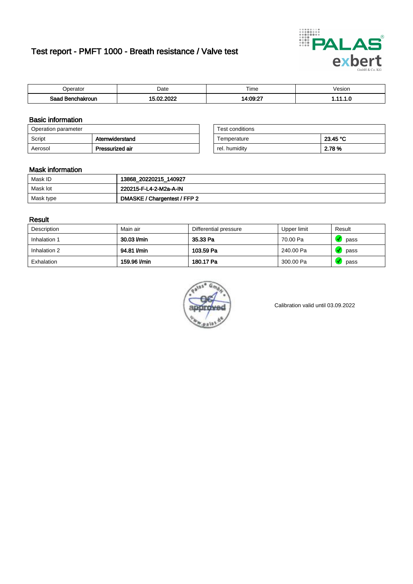# Test report - PMFT 1000 - Breath resistance / Valve test



| )perator               | Date                       | $- \cdot$<br>Гіmе | esion |
|------------------------|----------------------------|-------------------|-------|
| המס<br>hakroun<br>32 H | 0000<br>$\sim$ $\sim$<br>w | 14:09:27          | .     |

### Basic information

| Operation parameter |                 | Test conditions |          |
|---------------------|-----------------|-----------------|----------|
| Script              | Atemwiderstand  | Temperature     | 23.45 °C |
| Aerosol             | Pressurized air | rel. humidity   | 2.78 %   |

| Test conditions |          |
|-----------------|----------|
| Temperature     | 23.45 °C |
| rel. humidity   | 2.78%    |

#### Mask information

| Mask ID   | 13868_20220215_140927        |
|-----------|------------------------------|
| Mask lot  | 220215-F-L4-2-M2a-A-IN       |
| Mask type | DMASKE / Chargentest / FFP 2 |

### Result

| Description  | Main air     | Differential pressure | Upper limit | Result |
|--------------|--------------|-----------------------|-------------|--------|
| Inhalation 1 | 30.03 l/min  | 35.33 Pa              | 70.00 Pa    | pass   |
| Inhalation 2 | 94.81 I/min  | 103.59 Pa             | 240.00 Pa   | pass   |
| Exhalation   | 159.96 l/min | 180.17 Pa             | 300.00 Pa   | pass   |



Calibration valid until 03.09.2022